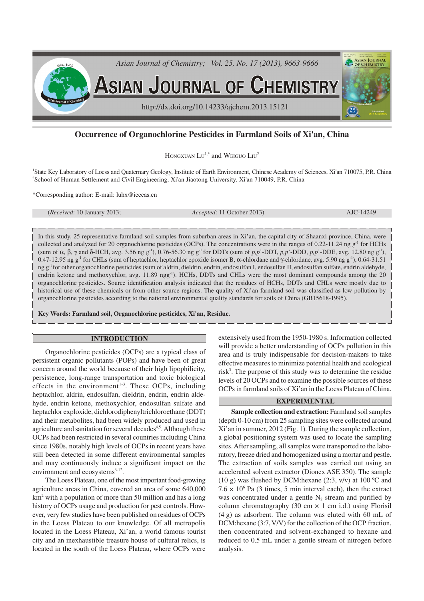

# **Occurrence of Organochlorine Pesticides in Farmland Soils of Xi'an, China**

Hongxuan  $\mathrm{L} \mathrm{u}^{1,*}$  and Weiguo  $\mathrm{L} \mathrm{u}^{2}$ 

<sup>1</sup>State Key Laboratory of Loess and Quaternary Geology, Institute of Earth Environment, Chinese Academy of Sciences, Xi'an 710075, P.R. China <sup>2</sup>School of Human Settlement and Civil Engineering, Xi'an Jiaotong University, Xi'an 710049, P.R. China

\*Corresponding author: E-mail: luhx@ieecas.cn

(*Received*: 10 January 2013; *Accepted*: 11 October 2013) AJC-14249

In this study, 25 representative farmland soil samples from suburban areas in Xi'an, the capital city of Shaanxi province, China, were collected and analyzed for 20 organochlorine pesticides (OCPs). The concentrations were in the ranges of 0.22-11.24 ng  $g^{-1}$  for HCHs (sum of α, β, γ and δ-HCH, avg. 3.56 ng g-1), 0.76-56.30 ng g-1 for DDTs (sum of *p,p*'-DDT, *p,p*'-DDD, *p,p*'-DDE, avg. 12.80 ng g-1), 0.47-12.95 ng g-1 for CHLs (sum of heptachlor, heptachlor epoxide isomer B, α-chlordane and γ-chlordane, avg. 5.90 ng g-1), 0.64-31.51 ng g-1 for other organochlorine pesticides (sum of aldrin, dieldrin, endrin, endosulfan I, endosulfan II, endosulfan sulfate, endrin aldehyde, endrin ketone and methoxychlor, avg. 11.89 ngg<sup>-1</sup>). HCHs, DDTs and CHLs were the most dominant compounds among the 20 organochlorine pesticides. Source identification analysis indicated that the residues of HCHs, DDTs and CHLs were mostly due to historical use of these chemicals or from other source regions. The quality of Xi'an farmland soil was classified as low pollution by organochlorine pesticides according to the national environmental quality standards for soils of China (GB15618-1995).

**Key Words: Farmland soil, Organochlorine pesticides, Xi'an, Residue.**

#### **INTRODUCTION**

Organochlorine pesticides (OCPs) are a typical class of persistent organic pollutants (POPs) and have been of great concern around the world because of their high lipophilicity, persistence, long-range transportation and toxic biological effects in the environment<sup>1-3</sup>. These OCPs, including heptachlor, aldrin, endosulfan, dieldrin, endrin, endrin aldehyde, endrin ketone, methoxychlor, endosulfan sulfate and heptachlor exploxide, dichlorodiphenyltrichloroethane (DDT) and their metabolites, had been widely produced and used in agriculture and sanitation for several decades<sup>4,5</sup>. Although these OCPs had been restricted in several countries including China since 1980s, notably high levels of OCPs in recent years have still been detected in some different environmental samples and may continuously induce a significant impact on the environment and ecosystems $6-12$ .

The Loess Plateau, one of the most important food-growing agriculture areas in China, covered an area of some 640,000 km<sup>2</sup> with a population of more than 50 million and has a long history of OCPs usage and production for pest controls. However, very few studies have been published on residues of OCPs in the Loess Plateau to our knowledge. Of all metropolis located in the Loess Plateau, Xi'an, a world famous tourist city and an inexhaustible treasure house of cultural relics, is located in the south of the Loess Plateau, where OCPs were

extensively used from the 1950-1980 s. Information collected will provide a better understanding of OCPs pollution in this area and is truly indispensable for decision-makers to take effective measures to minimize potential health and ecological risk<sup>3</sup>. The purpose of this study was to determine the residue levels of 20 OCPs and to examine the possible sources of these OCPs in farmland soils of Xi'an in the Loess Plateau of China.

## **EXPERIMENTAL**

**Sample collection and extraction:**Farmland soil samples (depth 0-10 cm) from 25 sampling sites were collected around Xi'an in summer, 2012 (Fig. 1). During the sample collection, a global positioning system was used to locate the sampling sites. After sampling, all samples were transported to the laboratory, freeze dried and homogenized using a mortar and pestle. The extraction of soils samples was carried out using an accelerated solvent extractor (Dionex ASE 350). The sample (10 g) was flushed by DCM:hexane (2:3,  $v/v$ ) at 100 °C and  $7.6 \times 10^6$  Pa (3 times, 5 min interval each), then the extract was concentrated under a gentle  $N_2$  stream and purified by column chromatography (30 cm  $\times$  1 cm i.d.) using Florisil (4 g) as adsorbent. The column was eluted with 60 mL of DCM:hexane  $(3:7, V/V)$  for the collection of the OCP fraction, then concentrated and solvent-exchanged to hexane and reduced to 0.5 mL under a gentle stream of nitrogen before analysis.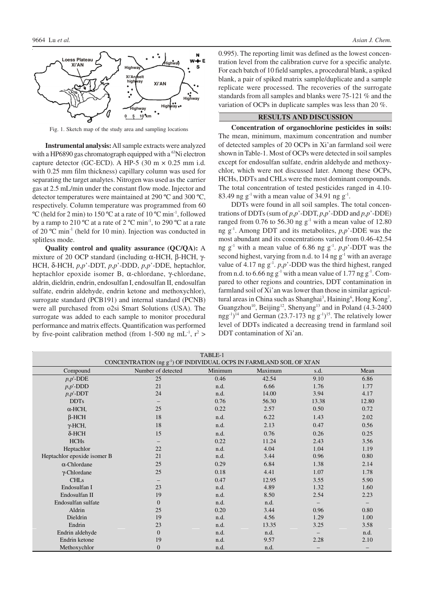

Fig. 1. Sketch map of the study area and sampling locations

**Instrumental analysis:**All sample extracts were analyzed with a HP6890 gas chromatograph equipped with a  $^{63}$ Ni electron capture detector (GC-ECD). A HP-5 (30 m  $\times$  0.25 mm i.d. with 0.25 mm film thickness) capillary column was used for separating the target analytes. Nitrogen was used as the carrier gas at 2.5 mL/min under the constant flow mode. Injector and detector temperatures were maintained at 290 ºC and 300 ºC, respectively. Column temperature was programmed from 60 ºC (held for 2 min) to 150 ºC at a rate of 10 ºC min-1 , followed by a ramp to 210 °C at a rate of 2 °C min<sup>-1</sup>, to 290 °C at a rate of 20 °C min<sup>-1</sup> (held for 10 min). Injection was conducted in splitless mode.

**Quality control and quality assurance (QC/QA):** A mixture of 20 OCP standard (including α-HCH, β-HCH, γ-HCH, δ-HCH, *p,p*'-DDT, *p,p*'-DDD, *p,p*'-DDE, heptachlor, heptachlor epoxide isomer B, α-chlordane, γ-chlordane, aldrin, dieldrin, endrin, endosulfan I, endosulfan II, endosulfan sulfate, endrin aldehyde, endrin ketone and methoxychlor), surrogate standard (PCB191) and internal standard (PCNB) were all purchased from o2si Smart Solutions (USA). The surrogate was added to each sample to monitor procedural performance and matrix effects. Quantification was performed by five-point calibration method (from 1-500 ng mL<sup>-1</sup>,  $r^2$ )

0.995). The reporting limit was defined as the lowest concentration level from the calibration curve for a specific analyte. For each batch of 10 field samples, a procedural blank, a spiked blank, a pair of spiked matrix sample/duplicate and a sample replicate were processed. The recoveries of the surrogate standards from all samples and blanks were 75-121 % and the variation of OCPs in duplicate samples was less than 20 %.

## **RESULTS AND DISCUSSION**

**Concentration of organochlorine pesticides in soils:** The mean, minimum, maximum concentration and number of detected samples of 20 OCPs in Xi'an farmland soil were shown in Table-1. Most of OCPs were detected in soil samples except for endosulfan sulfate, endrin aldehyde and methoxychlor, which were not discussed later. Among these OCPs, HCHs, DDTs and CHLs were the most dominant compounds. The total concentration of tested pesticides ranged in 4.10- 83.49 ng  $g^{-1}$  with a mean value of 34.91 ng  $g^{-1}$ .

DDTs were found in all soil samples. The total concentrations of DDTs (sum of *p,p*'-DDT, *p,p*'-DDD and *p,p*'-DDE) ranged from 0.76 to 56.30 ng  $g^{-1}$  with a mean value of 12.80 ng g-1 . Among DDT and its metabolites, *p,p*'-DDE was the most abundant and its concentrations varied from 0.46-42.54 ng  $g^{-1}$  with a mean value of 6.86 ng  $g^{-1}$ .  $p, p'$ -DDT was the second highest, varying from n.d. to 14 ng  $g<sup>-1</sup>$  with an average value of 4.17 ng  $g^{-1}$ . *p,p*'-DDD was the third highest, ranged from n.d. to 6.66 ng  $g^{-1}$  with a mean value of 1.77 ng  $g^{-1}$ . Compared to other regions and countries, DDT contamination in farmland soil of Xi'an was lower than those in similar agricultural areas in China such as Shanghai<sup>3</sup>, Haining<sup>6</sup>, Hong Kong<sup>7</sup>, Guangzhou<sup>10</sup>, Beijing<sup>12</sup>, Shenyang<sup>13</sup> and in Poland (4.3-2400  $ngg^{-1}$ <sup>14</sup> and German (23.7-173 ng g<sup>-1</sup>)<sup>15</sup>. The relatively lower level of DDTs indicated a decreasing trend in farmland soil DDT contamination of Xi'an.

| TABLE-1                                                                          |                    |         |         |       |                   |  |  |
|----------------------------------------------------------------------------------|--------------------|---------|---------|-------|-------------------|--|--|
| CONCENTRATION (ng g <sup>-1</sup> ) OF INDIVIDUAL OCPS IN FARMLAND SOIL OF XI'AN |                    |         |         |       |                   |  |  |
| Compound                                                                         | Number of detected | Minimum | Maximum | s.d.  | Mean              |  |  |
| $p, p'$ -DDE                                                                     | 25                 | 0.46    | 42.54   | 9.10  | 6.86              |  |  |
| $p, p'$ -DDD                                                                     | 21                 | n.d.    | 6.66    | 1.76  | 1.77              |  |  |
| $p, p'$ -DDT                                                                     | 24                 | n.d.    | 14.00   | 3.94  | 4.17              |  |  |
| <b>DDTs</b>                                                                      |                    | 0.76    | 56.30   | 13.38 | 12.80             |  |  |
| $\alpha$ -HCH,                                                                   | 25                 | 0.22    | 2.57    | 0.50  | 0.72              |  |  |
| $\beta$ -HCH                                                                     | 18                 | n.d.    | 6.22    | 1.43  | 2.02              |  |  |
| $\gamma$ -HCH,                                                                   | 18                 | n.d.    | 2.13    | 0.47  | 0.56              |  |  |
| $\delta$ -HCH                                                                    | 15                 | n.d.    | 0.76    | 0.26  | 0.25              |  |  |
| <b>HCHs</b>                                                                      | -                  | 0.22    | 11.24   | 2.43  | 3.56              |  |  |
| Heptachlor                                                                       | 22                 | n.d.    | 4.04    | 1.04  | 1.19              |  |  |
| Heptachlor epoxide isomer B                                                      | 21                 | n.d.    | 3.44    | 0.96  | 0.80              |  |  |
| $\alpha$ -Chlordane                                                              | 25                 | 0.29    | 6.84    | 1.38  | 2.14              |  |  |
| $\gamma$ -Chlordane                                                              | 25                 | 0.18    | 4.41    | 1.07  | 1.78              |  |  |
| <b>CHLs</b>                                                                      |                    | 0.47    | 12.95   | 3.55  | 5.90              |  |  |
| Endosulfan I                                                                     | 23                 | n.d.    | 4.89    | 1.32  | 1.60              |  |  |
| Endosulfan II                                                                    | 19                 | n.d.    | 8.50    | 2.54  | 2.23              |  |  |
| Endosulfan sulfate                                                               | $\overline{0}$     | n.d.    | n.d.    |       | $\qquad \qquad -$ |  |  |
| Aldrin                                                                           | 25                 | 0.20    | 3.44    | 0.96  | 0.80              |  |  |
| Dieldrin                                                                         | 19                 | n.d.    | 4.56    | 1.29  | 1.00              |  |  |
| Endrin                                                                           | 23                 | n.d.    | 13.35   | 3.25  | 3.58              |  |  |
| Endrin aldehyde                                                                  | $\boldsymbol{0}$   | n.d.    | n.d.    |       | n.d.              |  |  |
| Endrin ketone                                                                    | 19                 | n.d.    | 9.57    | 2.28  | 2.10              |  |  |
| Methoxychlor                                                                     | $\boldsymbol{0}$   | n.d.    | n.d.    |       |                   |  |  |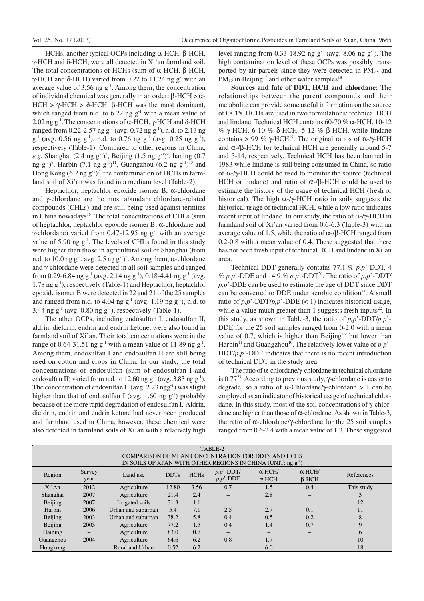HCHs, another typical OCPs including α-HCH, β-HCH, γ-HCH and δ-HCH, were all detected in Xi'an farmland soil. The total concentrations of HCHs (sum of α-HCH, β-HCH, γ-HCH and δ-HCH) varied from 0.22 to 11.24 ng g<sup>-1</sup> with an average value of  $3.56$  ng  $g^{-1}$ . Among them, the concentration of individual chemical was generally in an order:  $\beta$ -HCH > α-HCH > γ-HCH > δ-HCH. β-HCH was the most dominant, which ranged from n.d. to  $6.22$  ng  $g^{-1}$  with a mean value of 2.02 ng g<sup>-1</sup>. The concentrations of α-HCH,  $\gamma$ -HCH and δ-HCH ranged from 0.22-2.57 ng g<sup>-1</sup> (avg. 0.72 ng g<sup>-1</sup>), n.d. to 2.13 ng  $g^{-1}$  (avg. 0.56 ng g<sup>-1</sup>), n.d. to 0.76 ng g<sup>-1</sup> (avg. 0.25 ng g<sup>-1</sup>), respectively (Table-1). Compared to other regions in China, *e.g.* Shanghai  $(2.4 \text{ ng } g^{-1})^3$ , Beijing  $(1.5 \text{ ng } g^{-1})^9$ , haning  $(0.7 \text{ m})^3$ ng g<sup>-1</sup>)<sup>6</sup>, Harbin (7.1 ng g<sup>-1</sup>)<sup>11</sup>, Guangzhou (6.2 ng g<sup>-1</sup>)<sup>10</sup> and Hong Kong  $(6.2 \text{ ng g}^{-1})^7$ , the contamination of HCHs in farmland soil of Xi'an was found in a medium level (Table-2).

Heptachlor, heptachlor epoxide isomer B, α-chlordane and γ-chlordane are the most abundant chlordane-related compounds (CHLs) and are still being used against termites in China nowadays<sup>16</sup>. The total concentrations of CHLs (sum of heptachlor, heptachlor epoxide isomer B, α-chlordane and γ-chlordane) varied from 0.47-12.95 ng  $g<sup>-1</sup>$  with an average value of 5.90 ng  $g^{-1}$ . The levels of CHLs found in this study were higher than those in agricultural soil of Shanghai (from n.d. to 10.0 ng g<sup>-1</sup>, avg. 2.5 ng g<sup>-1</sup>)<sup>3</sup>. Among them,  $\alpha$ -chlordane and γ-chlordane were detected in all soil samples and ranged from 0.29-6.84 ng g<sup>-1</sup> (avg. 2.14 ng g<sup>-1</sup>), 0.18-4.41 ng g<sup>-1</sup> (avg.  $1.78$  ng  $g^{-1}$ ), respectively (Table-1) and Heptachlor, heptachlor epoxide isomer B were detected in 22 and 21 of the 25 samples and ranged from n.d. to 4.04 ng  $g^{-1}$  (avg. 1.19 ng  $g^{-1}$ ), n.d. to 3.44 ng  $g^{-1}$  (avg. 0.80 ng  $g^{-1}$ ), respectively (Table-1).

The other OCPs, including endosulfan I, endosulfan II, aldrin, dieldrin, endrin and endrin ketone, were also found in farmland soil of Xi'an. Their total concentrations were in the range of 0.64-31.51 ng  $g^{-1}$  with a mean value of 11.89 ng  $g^{-1}$ . Among them, endosulfan I and endosulfan II are still being used on cotton and crops in China. In our study, the total concentrations of endosulfan (sum of endosulfan I and endosulfan II) varied from n.d. to 12.60 ng  $g^{-1}$  (avg. 3.83 ng  $g^{-1}$ ). The concentration of endosulfan II (avg.  $2.23$  ngg<sup>-1</sup>) was slight higher than that of endosulfan I (avg. 1.60 ng  $g^{-1}$ ) probably because of the more rapid degradation of endosulfan I. Aldrin, dieldrin, endrin and endrin ketone had never been produced and farmland used in China, however, these chemical were also detected in farmland soils of Xi'an with a relatively high

level ranging from 0.33-18.92 ng  $g^{-1}$  (avg. 8.06 ng  $g^{-1}$ ). The high contamination level of these OCPs was possibly transported by air parcels since they were detected in  $PM_{2.5}$  and  $PM_{10}$  in Beijing<sup>17</sup> and other water samples<sup>18</sup>.

**Sources and fate of DDT, HCH and chlordane:** The relationships between the parent compounds and their metabolite can provide some useful information on the source of OCPs. HCHs are used in two formulations: technical HCH and lindane. Technical HCH contains 60-70 % α-HCH, 10-12 % γ-HCH, 6-10 % δ-HCH, 5-12 % β-HCH, while lindane contains > 99 %  $\gamma$ -HCH<sup>19</sup>. The original ratios of  $\alpha$ -/ $\gamma$ -HCH and  $α$ -/β-HCH for technical HCH are generally around 5-7 and 5-14, respectively. Technical HCH has been banned in 1983 while lindane is still being consumed in China, so ratio of α-/γ-HCH could be used to monitor the source (technical HCH or lindane) and ratio of  $\alpha$ -/ $\beta$ -HCH could be used to estimate the history of the usage of technical HCH (fresh or historical). The high  $\alpha$ -/ $\gamma$ -HCH ratio in soils suggests the historical usage of technical HCH, while a low ratio indicates recent input of lindane. In our study, the ratio of  $\alpha$ -/ $\gamma$ -HCH in farmland soil of Xi'an varied from 0.6-6.3 (Table-3) with an average value of 1.5, while the ratio of α-/β-HCH ranged from 0.2-0.8 with a mean value of 0.4. These suggested that there has not been fresh input of technical HCH and lindane in Xi'an area.

Technical DDT generally contains 77.1 % *p,p*'-DDT, 4 % *p,p*'-DDE and 14.9 % *o,p*'-DDT<sup>20</sup> . The ratio of *p,p*'-DDT/ *p,p*'-DDE can be used to estimate the age of DDT since DDT can be converted to DDE under aerobic condition<sup>21</sup>. A small ratio of *p,p*'-DDT/*p,p*'-DDE (< 1) indicates historical usage, while a value much greater than 1 suggests fresh inputs<sup>22</sup>. In this study, as shown in Table-3, the ratio of *p,p*'-DDT/*p,p*'- DDE for the 25 soil samples ranged from 0-2.0 with a mean value of 0.7, which is higher than Beijing $8.9$  but lower than Harbin<sup>11</sup> and Guangzhou<sup>10</sup>. The relatively lower value of  $p, p'$ -DDT/*p,p*'-DDE indicates that there is no recent introduction of technical DDT in the study area.

The ratio of α-chlordane/γ-chlordane in technical chlordane is 0.77<sup>23</sup>. According to previous study,  $\gamma$ -chlordane is easier to degrade, so a ratio of α-Chlordane/γ-chlordane > 1 can be employed as an indicator of historical usage of technical chlordane. In this study, most of the soil concentrations of γ-chlordane are higher than those of  $\alpha$ -chlordane. As shown in Table-3, the ratio of α-chlordane/γ-chlordane for the 25 soil samples ranged from 0.6-2.4 with a mean value of 1.3. These suggested

| TABLE-2                                                            |                   |                    |             |               |                          |                                 |            |            |
|--------------------------------------------------------------------|-------------------|--------------------|-------------|---------------|--------------------------|---------------------------------|------------|------------|
| COMPARISON OF MEAN CONCENTRATION FOR DDTS AND HCHS                 |                   |                    |             |               |                          |                                 |            |            |
|                                                                    |                   |                    |             |               |                          |                                 |            |            |
| IN SOILS OF XI'AN WITH OTHER REGIONS IN CHINA (UNIT: ng $g^{-1}$ ) |                   |                    |             |               |                          |                                 |            |            |
| Survey<br>Region<br>year                                           | Land use          | <b>DDTs</b>        | <b>HCHs</b> | $p, p'$ -DDT/ | $\alpha$ -HCH/           | $\alpha$ -HCH/                  | References |            |
|                                                                    |                   |                    |             | $p, p'$ -DDE  | $\gamma$ -HCH            | $\beta$ -HCH                    |            |            |
| Xi'An                                                              | 2012              | Agriculture        | 12.80       | 3.56          | 0.7                      | 1.5                             | 0.4        | This study |
| Shanghai                                                           | 2007              | Agriculture        | 21.4        | 2.4           |                          | 2.8                             |            |            |
| <b>Beijing</b>                                                     | 2007              | Irrigated soils    | 31.3        | 1.1           |                          | $\qquad \qquad - \qquad \qquad$ |            | 12         |
| Harbin                                                             | 2006              | Urban and suburban | 5.4         | 7.1           | 2.5                      | 2.7                             | 0.1        | 11         |
| <b>Beijing</b>                                                     | 2003              | Urban and suburban | 38.2        | 5.8           | 0.4                      | 0.5                             | 0.2        | 8          |
| Beijing                                                            | 2003              | Agriculture        | 77.2        | 1.5           | 0.4                      | 1.4                             | 0.7        | 9          |
| Haining                                                            | $\qquad \qquad -$ | Agriculture        | 83.0        | 0.7           | $\overline{\phantom{0}}$ | $\overline{\phantom{0}}$        |            | 6          |
| Guangzhou                                                          | 2004              | Agriculture        | 64.6        | 6.2           | 0.8                      | 1.7                             |            | 10         |
| Hongkong                                                           | $-$               | Rural and Urban    | 0.52        | 6.2           |                          | 6.0                             |            | 18         |